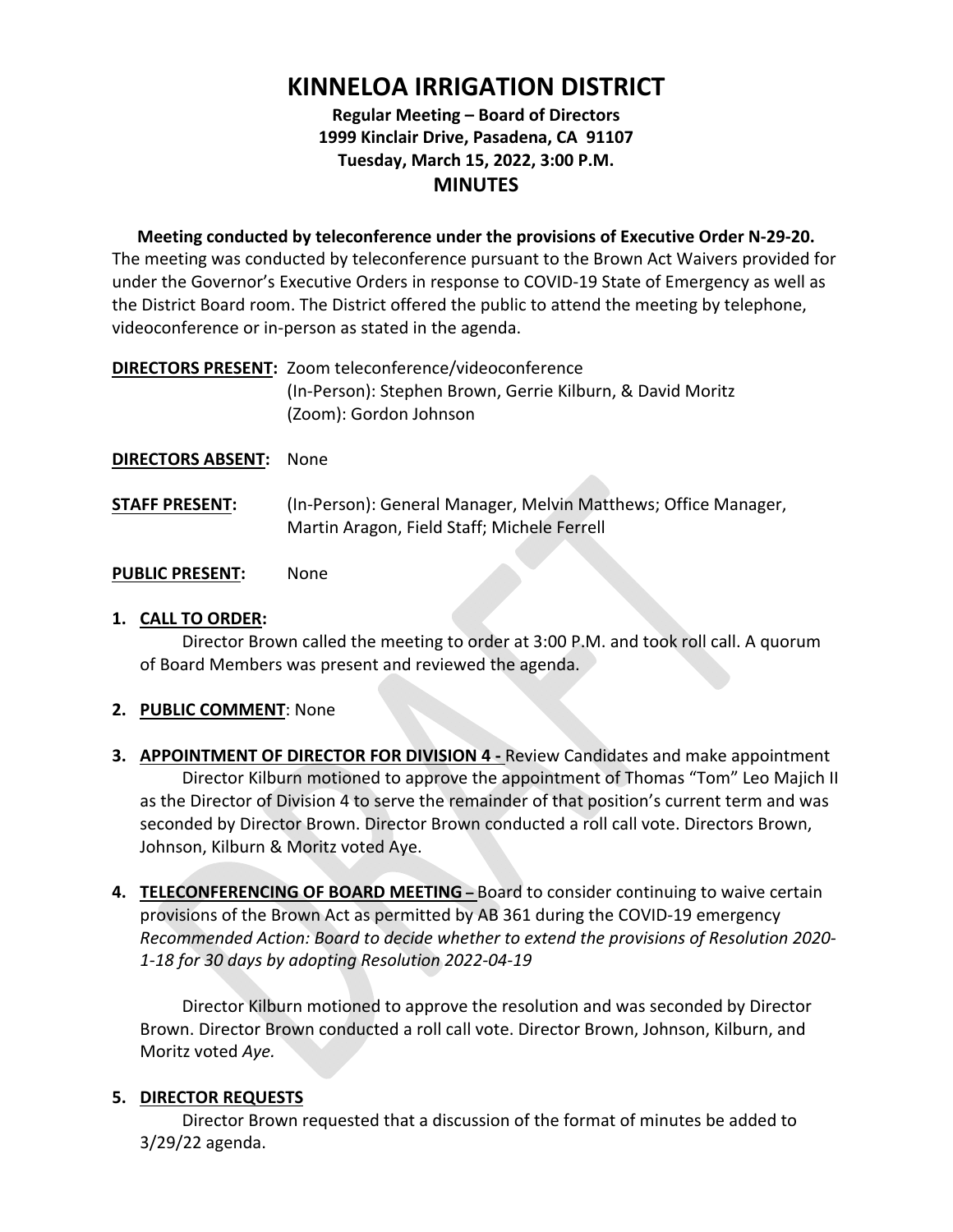# **KINNELOA IRRIGATION DISTRICT**

# **Regular Meeting – Board of Directors 1999 Kinclair Drive, Pasadena, CA 91107 Tuesday, March 15, 2022, 3:00 P.M. MINUTES**

**Meeting conducted by teleconference under the provisions of Executive Order N‐29‐20.**  The meeting was conducted by teleconference pursuant to the Brown Act Waivers provided for under the Governor's Executive Orders in response to COVID‐19 State of Emergency as well as the District Board room. The District offered the public to attend the meeting by telephone, videoconference or in‐person as stated in the agenda.

| DIRECTORS PRESENT: Zoom teleconference/videoconference     |
|------------------------------------------------------------|
| (In-Person): Stephen Brown, Gerrie Kilburn, & David Moritz |
| (Zoom): Gordon Johnson                                     |

#### **DIRECTORS ABSENT:**  None

**STAFF PRESENT:** (In-Person): General Manager, Melvin Matthews; Office Manager, Martin Aragon, Field Staff; Michele Ferrell

#### **PUBLIC PRESENT:**  None

# **1. CALL TO ORDER:**

Director Brown called the meeting to order at 3:00 P.M. and took roll call. A quorum of Board Members was present and reviewed the agenda.

# **2. PUBLIC COMMENT**: None

- **3. APPOINTMENT OF DIRECTOR FOR DIVISION 4 Review Candidates and make appointment** Director Kilburn motioned to approve the appointment of Thomas "Tom" Leo Majich II as the Director of Division 4 to serve the remainder of that position's current term and was seconded by Director Brown. Director Brown conducted a roll call vote. Directors Brown, Johnson, Kilburn & Moritz voted Aye.
- **4. TELECONFERENCING OF BOARD MEETING** Board to consider continuing to waive certain provisions of the Brown Act as permitted by AB 361 during the COVID‐19 emergency *Recommended Action: Board to decide whether to extend the provisions of Resolution 2020‐ 1‐18 for 30 days by adopting Resolution 2022‐04‐19*

Director Kilburn motioned to approve the resolution and was seconded by Director Brown. Director Brown conducted a roll call vote. Director Brown, Johnson, Kilburn, and Moritz voted *Aye.*

# **5. DIRECTOR REQUESTS**

Director Brown requested that a discussion of the format of minutes be added to 3/29/22 agenda.